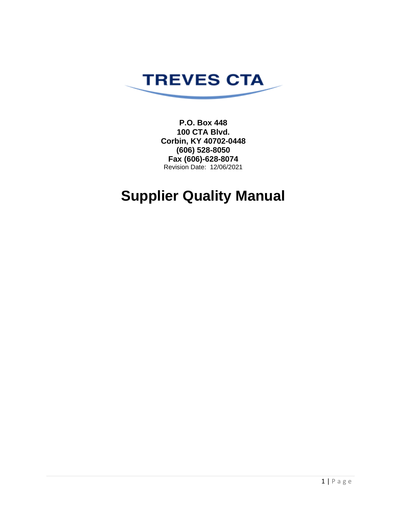

**P.O. Box 448 100 CTA Blvd. Corbin, KY 40702-0448 (606) 528-8050 Fax (606)-628-8074** Revision Date: 12/06/2021

# **Supplier Quality Manual**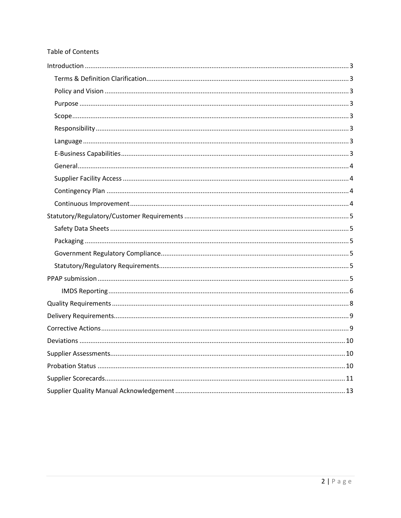#### Table of Contents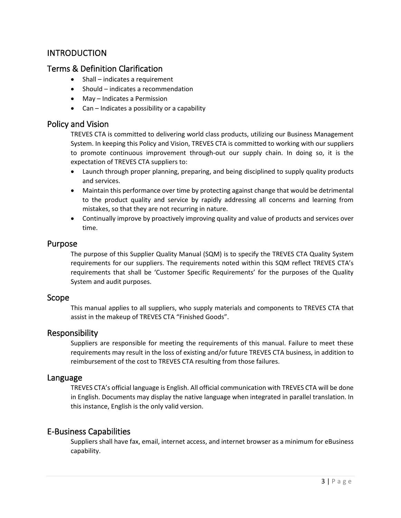# <span id="page-2-0"></span>**INTRODUCTION**

#### <span id="page-2-1"></span>Terms & Definition Clarification

- Shall indicates a requirement
- Should indicates a recommendation
- May Indicates a Permission
- Can Indicates a possibility or a capability

#### <span id="page-2-2"></span>Policy and Vision

TREVES CTA is committed to delivering world class products, utilizing our Business Management System. In keeping this Policy and Vision, TREVES CTA is committed to working with our suppliers to promote continuous improvement through-out our supply chain. In doing so, it is the expectation of TREVES CTA suppliers to:

- Launch through proper planning, preparing, and being disciplined to supply quality products and services.
- Maintain this performance over time by protecting against change that would be detrimental to the product quality and service by rapidly addressing all concerns and learning from mistakes, so that they are not recurring in nature.
- Continually improve by proactively improving quality and value of products and services over time.

#### <span id="page-2-3"></span>Purpose

The purpose of this Supplier Quality Manual (SQM) is to specify the TREVES CTA Quality System requirements for our suppliers. The requirements noted within this SQM reflect TREVES CTA's requirements that shall be 'Customer Specific Requirements' for the purposes of the Quality System and audit purposes.

#### <span id="page-2-4"></span>Scope

This manual applies to all suppliers, who supply materials and components to TREVES CTA that assist in the makeup of TREVES CTA "Finished Goods".

#### <span id="page-2-5"></span>Responsibility

Suppliers are responsible for meeting the requirements of this manual. Failure to meet these requirements may result in the loss of existing and/or future TREVES CTA business, in addition to reimbursement of the cost to TREVES CTA resulting from those failures.

#### <span id="page-2-6"></span>Language

TREVES CTA's official language is English. All official communication with TREVES CTA will be done in English. Documents may display the native language when integrated in parallel translation. In this instance, English is the only valid version.

#### <span id="page-2-7"></span>E-Business Capabilities

Suppliers shall have fax, email, internet access, and internet browser as a minimum for eBusiness capability.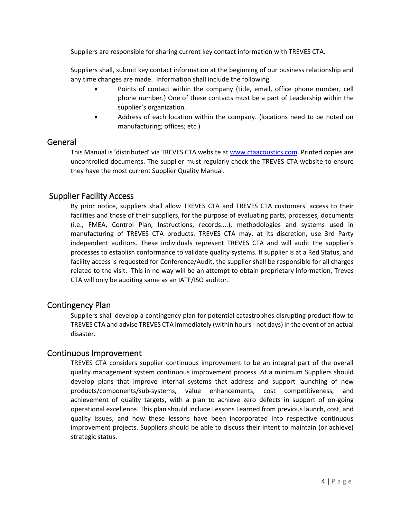Suppliers are responsible for sharing current key contact information with TREVES CTA.

Suppliers shall, submit key contact information at the beginning of our business relationship and any time changes are made. Information shall include the following.

- Points of contact within the company (title, email, office phone number, cell phone number.) One of these contacts must be a part of Leadership within the supplier's organization.
- Address of each location within the company. (locations need to be noted on manufacturing; offices; etc.)

#### <span id="page-3-0"></span>General

This Manual is 'distributed' via TREVES CTA website at [www.ctaacoustics.com.](http://www.ctaacoustics.com/) Printed copies are uncontrolled documents. The supplier must regularly check the TREVES CTA website to ensure they have the most current Supplier Quality Manual.

#### <span id="page-3-1"></span>Supplier Facility Access

By prior notice, suppliers shall allow TREVES CTA and TREVES CTA customers' access to their facilities and those of their suppliers, for the purpose of evaluating parts, processes, documents (i.e., FMEA, Control Plan, Instructions, records....), methodologies and systems used in manufacturing of TREVES CTA products. TREVES CTA may, at its discretion, use 3rd Party independent auditors. These individuals represent TREVES CTA and will audit the supplier's processes to establish conformance to validate quality systems. If supplier is at a Red Status, and facility access is requested for Conference/Audit, the supplier shall be responsible for all charges related to the visit. This in no way will be an attempt to obtain proprietary information, Treves CTA will only be auditing same as an IATF/ISO auditor.

#### <span id="page-3-2"></span>Contingency Plan

Suppliers shall develop a contingency plan for potential catastrophes disrupting product flow to TREVES CTA and advise TREVES CTA immediately (within hours - not days) in the event of an actual disaster.

#### <span id="page-3-3"></span>Continuous Improvement

TREVES CTA considers supplier continuous improvement to be an integral part of the overall quality management system continuous improvement process. At a minimum Suppliers should develop plans that improve internal systems that address and support launching of new products/components/sub-systems, value enhancements, cost competitiveness, and achievement of quality targets, with a plan to achieve zero defects in support of on-going operational excellence. This plan should include Lessons Learned from previous launch, cost, and quality issues, and how these lessons have been incorporated into respective continuous improvement projects. Suppliers should be able to discuss their intent to maintain (or achieve) strategic status.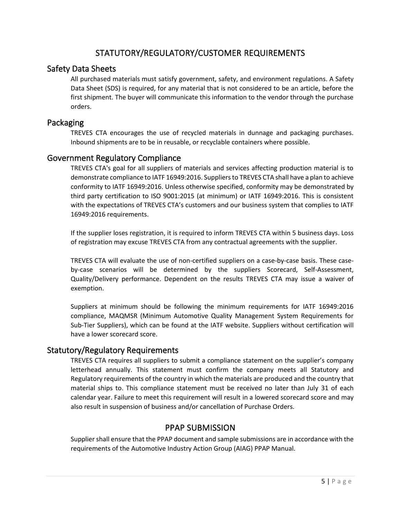# STATUTORY/REGULATORY/CUSTOMER REQUIREMENTS

## <span id="page-4-1"></span><span id="page-4-0"></span>Safety Data Sheets

All purchased materials must satisfy government, safety, and environment regulations. A Safety Data Sheet (SDS) is required, for any material that is not considered to be an article, before the first shipment. The buyer will communicate this information to the vendor through the purchase orders.

#### <span id="page-4-2"></span>Packaging

TREVES CTA encourages the use of recycled materials in dunnage and packaging purchases. Inbound shipments are to be in reusable, or recyclable containers where possible.

#### <span id="page-4-3"></span>Government Regulatory Compliance

TREVES CTA's goal for all suppliers of materials and services affecting production material is to demonstrate compliance to IATF 16949:2016. Suppliers to TREVES CTA shall have a plan to achieve conformity to IATF 16949:2016. Unless otherwise specified, conformity may be demonstrated by third party certification to ISO 9001:2015 (at minimum) or IATF 16949:2016. This is consistent with the expectations of TREVES CTA's customers and our business system that complies to IATF 16949:2016 requirements.

If the supplier loses registration, it is required to inform TREVES CTA within 5 business days. Loss of registration may excuse TREVES CTA from any contractual agreements with the supplier.

TREVES CTA will evaluate the use of non-certified suppliers on a case-by-case basis. These caseby-case scenarios will be determined by the suppliers Scorecard, Self-Assessment, Quality/Delivery performance. Dependent on the results TREVES CTA may issue a waiver of exemption.

Suppliers at minimum should be following the minimum requirements for IATF 16949:2016 compliance, MAQMSR (Minimum Automotive Quality Management System Requirements for Sub-Tier Suppliers), which can be found at the IATF website. Suppliers without certification will have a lower scorecard score.

## <span id="page-4-4"></span>Statutory/Regulatory Requirements

TREVES CTA requires all suppliers to submit a compliance statement on the supplier's company letterhead annually. This statement must confirm the company meets all Statutory and Regulatory requirements of the country in which the materials are produced and the country that material ships to. This compliance statement must be received no later than July 31 of each calendar year. Failure to meet this requirement will result in a lowered scorecard score and may also result in suspension of business and/or cancellation of Purchase Orders.

## PPAP SUBMISSION

<span id="page-4-5"></span>Supplier shall ensure that the PPAP document and sample submissions are in accordance with the requirements of the Automotive Industry Action Group (AIAG) PPAP Manual.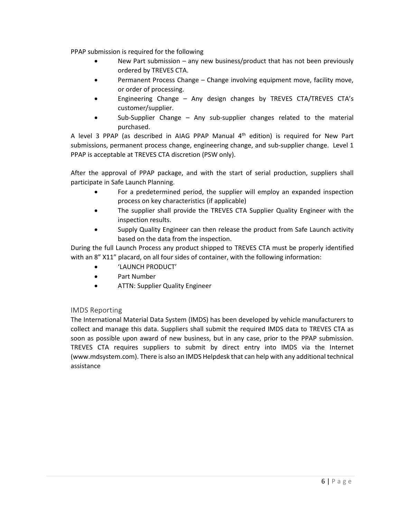PPAP submission is required for the following

- New Part submission any new business/product that has not been previously ordered by TREVES CTA.
- Permanent Process Change Change involving equipment move, facility move, or order of processing.
- Engineering Change Any design changes by TREVES CTA/TREVES CTA's customer/supplier.
- Sub-Supplier Change Any sub-supplier changes related to the material purchased.

A level 3 PPAP (as described in AIAG PPAP Manual  $4<sup>th</sup>$  edition) is required for New Part submissions, permanent process change, engineering change, and sub-supplier change. Level 1 PPAP is acceptable at TREVES CTA discretion (PSW only).

After the approval of PPAP package, and with the start of serial production, suppliers shall participate in Safe Launch Planning.

- For a predetermined period, the supplier will employ an expanded inspection process on key characteristics (if applicable)
- The supplier shall provide the TREVES CTA Supplier Quality Engineer with the inspection results.
- Supply Quality Engineer can then release the product from Safe Launch activity based on the data from the inspection.

During the full Launch Process any product shipped to TREVES CTA must be properly identified with an 8" X11" placard, on all four sides of container, with the following information:

- 'LAUNCH PRODUCT'
- Part Number
- ATTN: Supplier Quality Engineer

#### <span id="page-5-0"></span>IMDS Reporting

The International Material Data System (IMDS) has been developed by vehicle manufacturers to collect and manage this data. Suppliers shall submit the required IMDS data to TREVES CTA as soon as possible upon award of new business, but in any case, prior to the PPAP submission. TREVES CTA requires suppliers to submit by direct entry into IMDS via the Internet (www.mdsystem.com). There is also an IMDS Helpdesk that can help with any additional technical assistance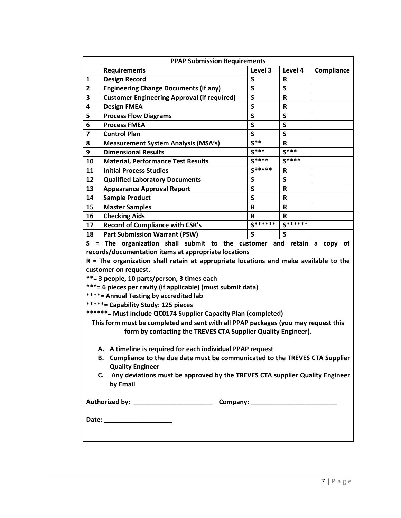| <b>Requirements</b>                                                                                                                                                                                                                                                         | Level 3                                                        | Level 4                                                                                                                                                          |                                                               | Compliance |                                                                                   |
|-----------------------------------------------------------------------------------------------------------------------------------------------------------------------------------------------------------------------------------------------------------------------------|----------------------------------------------------------------|------------------------------------------------------------------------------------------------------------------------------------------------------------------|---------------------------------------------------------------|------------|-----------------------------------------------------------------------------------|
| <b>Design Record</b>                                                                                                                                                                                                                                                        |                                                                | R                                                                                                                                                                |                                                               |            |                                                                                   |
| <b>Engineering Change Documents (if any)</b>                                                                                                                                                                                                                                |                                                                | S                                                                                                                                                                |                                                               |            |                                                                                   |
| <b>Customer Engineering Approval (if required)</b>                                                                                                                                                                                                                          |                                                                | R                                                                                                                                                                |                                                               |            |                                                                                   |
| <b>Design FMEA</b>                                                                                                                                                                                                                                                          |                                                                | $\mathbf R$                                                                                                                                                      |                                                               |            |                                                                                   |
| <b>Process Flow Diagrams</b>                                                                                                                                                                                                                                                |                                                                | S                                                                                                                                                                |                                                               |            |                                                                                   |
| <b>Process FMEA</b>                                                                                                                                                                                                                                                         |                                                                | $\mathsf{s}$                                                                                                                                                     |                                                               |            |                                                                                   |
| <b>Control Plan</b>                                                                                                                                                                                                                                                         |                                                                | S                                                                                                                                                                |                                                               |            |                                                                                   |
| <b>Measurement System Analysis (MSA's)</b>                                                                                                                                                                                                                                  |                                                                | R                                                                                                                                                                |                                                               |            |                                                                                   |
| <b>Dimensional Results</b>                                                                                                                                                                                                                                                  |                                                                | $S***$                                                                                                                                                           |                                                               |            |                                                                                   |
| <b>Material, Performance Test Results</b>                                                                                                                                                                                                                                   | $S***$                                                         | $S****$                                                                                                                                                          |                                                               |            |                                                                                   |
| <b>Initial Process Studies</b>                                                                                                                                                                                                                                              | $S****$                                                        | R                                                                                                                                                                |                                                               |            |                                                                                   |
| <b>Qualified Laboratory Documents</b>                                                                                                                                                                                                                                       |                                                                | S                                                                                                                                                                |                                                               |            |                                                                                   |
| <b>Appearance Approval Report</b>                                                                                                                                                                                                                                           |                                                                | $\mathbf R$                                                                                                                                                      |                                                               |            |                                                                                   |
| <b>Sample Product</b>                                                                                                                                                                                                                                                       |                                                                | R                                                                                                                                                                |                                                               |            |                                                                                   |
| <b>Master Samples</b>                                                                                                                                                                                                                                                       |                                                                | R                                                                                                                                                                |                                                               |            |                                                                                   |
| <b>Checking Aids</b>                                                                                                                                                                                                                                                        |                                                                | R                                                                                                                                                                |                                                               |            |                                                                                   |
| <b>Record of Compliance with CSR's</b>                                                                                                                                                                                                                                      | $S******$                                                      | $S******$                                                                                                                                                        |                                                               |            |                                                                                   |
| <b>Part Submission Warrant (PSW)</b>                                                                                                                                                                                                                                        |                                                                | S                                                                                                                                                                |                                                               |            |                                                                                   |
| records/documentation items at appropriate locations<br>customer on request.<br>**= 3 people, 10 parts/person, 3 times each<br>***= 6 pieces per cavity (if applicable) (must submit data)<br>****= Annual Testing by accredited lab<br>*****= Capability Study: 125 pieces | ******= Must include QC0174 Supplier Capacity Plan (completed) | S = The organization shall submit to the customer and retain a copy of<br>$R$ = The organization shall retain at appropriate locations and make available to the |                                                               |            |                                                                                   |
| $\mathbf{a}$ . The state of the state $\mathbf{a}$ is the state of the state of the state of the state of the state of the state of the state of the state of the state of the state of the state of the state of the state of the st                                       |                                                                |                                                                                                                                                                  | form by contacting the TREVES CTA Supplier Quality Engineer). |            | This form must be completed and sent with all PPAP packages (you may request this |

- **A. A timeline is required for each individual PPAP request**
- **B. Compliance to the due date must be communicated to the TREVES CTA Supplier Quality Engineer**
- **C. Any deviations must be approved by the TREVES CTA supplier Quality Engineer by Email**

**Authorized by: \_\_\_\_\_\_\_\_\_\_\_\_\_\_\_\_\_\_\_\_\_\_ Company: \_\_\_\_\_\_\_\_\_\_\_\_\_\_\_\_\_\_\_\_\_\_\_\_**

**Date: \_\_\_\_\_\_\_\_\_\_\_\_\_\_\_\_\_\_\_**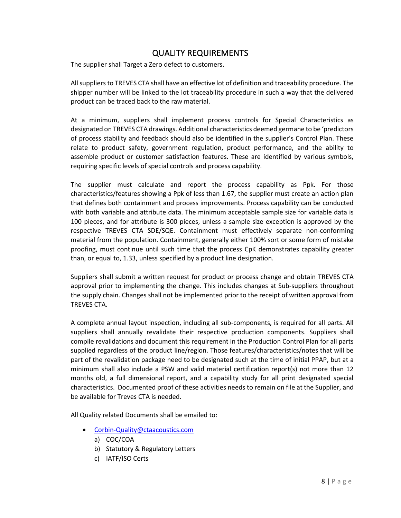# QUALITY REQUIREMENTS

<span id="page-7-0"></span>The supplier shall Target a Zero defect to customers.

All suppliers to TREVES CTA shall have an effective lot of definition and traceability procedure. The shipper number will be linked to the lot traceability procedure in such a way that the delivered product can be traced back to the raw material.

At a minimum, suppliers shall implement process controls for Special Characteristics as designated on TREVES CTA drawings. Additional characteristics deemed germane to be 'predictors of process stability and feedback should also be identified in the supplier's Control Plan. These relate to product safety, government regulation, product performance, and the ability to assemble product or customer satisfaction features. These are identified by various symbols, requiring specific levels of special controls and process capability.

The supplier must calculate and report the process capability as Ppk. For those characteristics/features showing a Ppk of less than 1.67, the supplier must create an action plan that defines both containment and process improvements. Process capability can be conducted with both variable and attribute data. The minimum acceptable sample size for variable data is 100 pieces, and for attribute is 300 pieces, unless a sample size exception is approved by the respective TREVES CTA SDE/SQE. Containment must effectively separate non-conforming material from the population. Containment, generally either 100% sort or some form of mistake proofing, must continue until such time that the process CpK demonstrates capability greater than, or equal to, 1.33, unless specified by a product line designation.

Suppliers shall submit a written request for product or process change and obtain TREVES CTA approval prior to implementing the change. This includes changes at Sub-suppliers throughout the supply chain. Changes shall not be implemented prior to the receipt of written approval from TREVES CTA.

A complete annual layout inspection, including all sub-components, is required for all parts. All suppliers shall annually revalidate their respective production components. Suppliers shall compile revalidations and document this requirement in the Production Control Plan for all parts supplied regardless of the product line/region. Those features/characteristics/notes that will be part of the revalidation package need to be designated such at the time of initial PPAP, but at a minimum shall also include a PSW and valid material certification report(s) not more than 12 months old, a full dimensional report, and a capability study for all print designated special characteristics. Documented proof of these activities needs to remain on file at the Supplier, and be available for Treves CTA is needed.

All Quality related Documents shall be emailed to:

- [Corbin-Quality@ctaacoustics.com](mailto:Corbin-Quality@ctaacoustics.com)
	- a) COC/COA
	- b) Statutory & Regulatory Letters
	- c) IATF/ISO Certs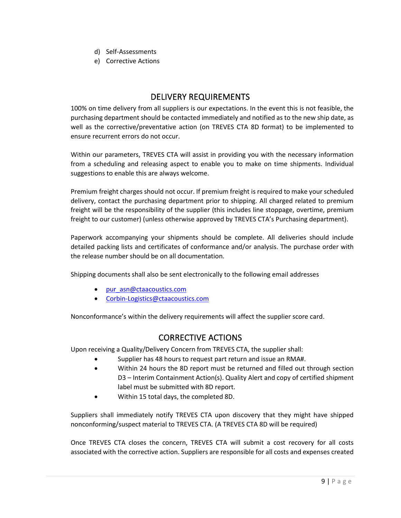- d) Self-Assessments
- e) Corrective Actions

# DELIVERY REQUIREMENTS

<span id="page-8-0"></span>100% on time delivery from all suppliers is our expectations. In the event this is not feasible, the purchasing department should be contacted immediately and notified as to the new ship date, as well as the corrective/preventative action (on TREVES CTA 8D format) to be implemented to ensure recurrent errors do not occur.

Within our parameters, TREVES CTA will assist in providing you with the necessary information from a scheduling and releasing aspect to enable you to make on time shipments. Individual suggestions to enable this are always welcome.

Premium freight charges should not occur. If premium freight is required to make your scheduled delivery, contact the purchasing department prior to shipping. All charged related to premium freight will be the responsibility of the supplier (this includes line stoppage, overtime, premium freight to our customer) (unless otherwise approved by TREVES CTA's Purchasing department).

Paperwork accompanying your shipments should be complete. All deliveries should include detailed packing lists and certificates of conformance and/or analysis. The purchase order with the release number should be on all documentation.

Shipping documents shall also be sent electronically to the following email addresses

- [pur\\_asn@ctaacoustics.com](mailto:pur_asn@ctaacoustics.com)
- [Corbin-Logistics@ctaacoustics.com](mailto:Corbin-Logistics@ctaacoustics.com)

<span id="page-8-1"></span>Nonconformance's within the delivery requirements will affect the supplier score card.

## CORRECTIVE ACTIONS

Upon receiving a Quality/Delivery Concern from TREVES CTA, the supplier shall:

- Supplier has 48 hours to request part return and issue an RMA#.
- Within 24 hours the 8D report must be returned and filled out through section D3 – Interim Containment Action(s). Quality Alert and copy of certified shipment label must be submitted with 8D report.
- Within 15 total days, the completed 8D.

Suppliers shall immediately notify TREVES CTA upon discovery that they might have shipped nonconforming/suspect material to TREVES CTA. (A TREVES CTA 8D will be required)

Once TREVES CTA closes the concern, TREVES CTA will submit a cost recovery for all costs associated with the corrective action. Suppliers are responsible for all costs and expenses created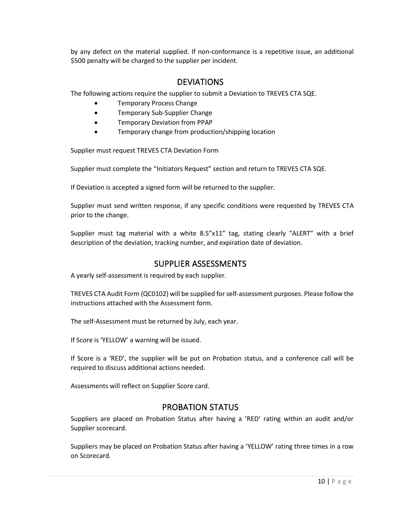by any defect on the material supplied. If non-conformance is a repetitive issue, an additional \$500 penalty will be charged to the supplier per incident.

## DEVIATIONS

<span id="page-9-0"></span>The following actions require the supplier to submit a Deviation to TREVES CTA SQE.

- Temporary Process Change
- Temporary Sub-Supplier Change
- Temporary Deviation from PPAP
- Temporary change from production/shipping location

Supplier must request TREVES CTA Deviation Form

Supplier must complete the "Initiators Request" section and return to TREVES CTA SQE.

If Deviation is accepted a signed form will be returned to the supplier.

Supplier must send written response, if any specific conditions were requested by TREVES CTA prior to the change.

Supplier must tag material with a white 8.5"x11" tag, stating clearly "ALERT" with a brief description of the deviation, tracking number, and expiration date of deviation.

## SUPPLIER ASSESSMENTS

<span id="page-9-1"></span>A yearly self-assessment is required by each supplier.

TREVES CTA Audit Form (QC0102) will be supplied for self-assessment purposes. Please follow the instructions attached with the Assessment form.

The self-Assessment must be returned by July, each year.

If Score is 'YELLOW' a warning will be issued.

If Score is a 'RED', the supplier will be put on Probation status, and a conference call will be required to discuss additional actions needed.

<span id="page-9-2"></span>Assessments will reflect on Supplier Score card.

## PROBATION STATUS

Suppliers are placed on Probation Status after having a 'RED' rating within an audit and/or Supplier scorecard.

Suppliers may be placed on Probation Status after having a 'YELLOW' rating three times in a row on Scorecard.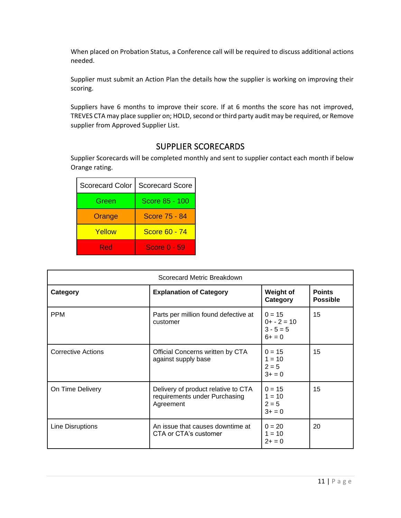When placed on Probation Status, a Conference call will be required to discuss additional actions needed.

Supplier must submit an Action Plan the details how the supplier is working on improving their scoring.

Suppliers have 6 months to improve their score. If at 6 months the score has not improved, TREVES CTA may place supplier on; HOLD, second or third party audit may be required, or Remove supplier from Approved Supplier List.

# SUPPLIER SCORECARDS

<span id="page-10-0"></span>Supplier Scorecards will be completed monthly and sent to supplier contact each month if below Orange rating.

| <b>Scorecard Color</b> | <b>Scorecard Score</b> |
|------------------------|------------------------|
| Green                  | Score 85 - 100         |
| Orange                 | Score 75 - 84          |
| Yellow                 | Score 60 - 74          |
| Red                    | <b>Score 0 - 59</b>    |

|                           | Scorecard Metric Breakdown                                                        |                                                      |                                  |
|---------------------------|-----------------------------------------------------------------------------------|------------------------------------------------------|----------------------------------|
| Category                  | <b>Explanation of Category</b>                                                    | <b>Weight of</b><br>Category                         | <b>Points</b><br><b>Possible</b> |
| <b>PPM</b>                | Parts per million found defective at<br>customer                                  | $0 = 15$<br>$0+ - 2 = 10$<br>$3 - 5 = 5$<br>$6+ = 0$ | 15                               |
| <b>Corrective Actions</b> | Official Concerns written by CTA<br>against supply base                           | $0 = 15$<br>$1 = 10$<br>$2 = 5$<br>$3+ = 0$          | 15                               |
| On Time Delivery          | Delivery of product relative to CTA<br>requirements under Purchasing<br>Agreement | $0 = 15$<br>$1 = 10$<br>$2 = 5$<br>$3+ = 0$          | 15                               |
| Line Disruptions          | An issue that causes downtime at<br>CTA or CTA's customer                         | $0 = 20$<br>$1 = 10$<br>$2+ = 0$                     | 20                               |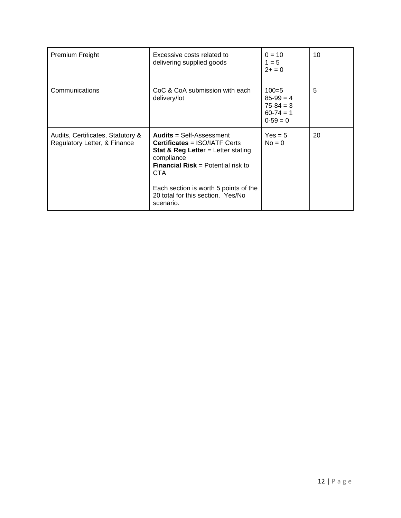| Premium Freight                                                   | Excessive costs related to<br>delivering supplied goods                                                                                                                                                                                                                                      | $0 = 10$<br>$1 = 5$<br>$2+ = 0$                              | 10 |
|-------------------------------------------------------------------|----------------------------------------------------------------------------------------------------------------------------------------------------------------------------------------------------------------------------------------------------------------------------------------------|--------------------------------------------------------------|----|
| Communications                                                    | CoC & CoA submission with each<br>delivery/lot                                                                                                                                                                                                                                               | $100=5$<br>$85-99=4$<br>$75-84 = 3$<br>$60-74=1$<br>$0-59=0$ | 5  |
| Audits, Certificates, Statutory &<br>Regulatory Letter, & Finance | <b>Audits = Self-Assessment</b><br><b>Certificates = ISO/IATF Certs</b><br><b>Stat &amp; Reg Letter</b> = Letter stating<br>compliance<br><b>Financial Risk = Potential risk to</b><br><b>CTA</b><br>Each section is worth 5 points of the<br>20 total for this section. Yes/No<br>scenario. | $Yes = 5$<br>$No = 0$                                        | 20 |